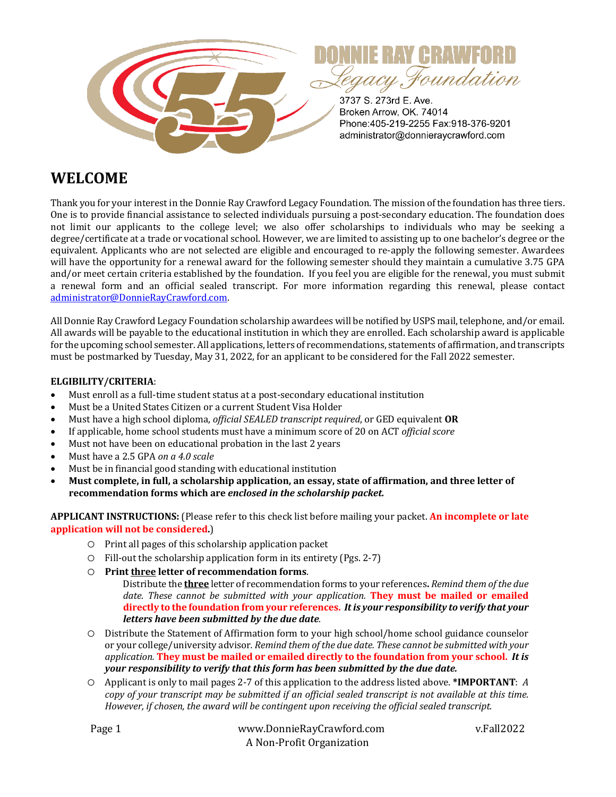

# **WELCOME**

Thank you for your interest in the Donnie Ray Crawford Legacy Foundation. The mission of the foundation has three tiers. One is to provide financial assistance to selected individuals pursuing a post-secondary education. The foundation does not limit our applicants to the college level; we also offer scholarships to individuals who may be seeking a degree/certificate at a trade or vocational school. However, we are limited to assisting up to one bachelor's degree or the equivalent. Applicants who are not selected are eligible and encouraged to re-apply the following semester. Awardees will have the opportunity for a renewal award for the following semester should they maintain a cumulative 3.75 GPA and/or meet certain criteria established by the foundation. If you feel you are eligible for the renewal, you must submit a renewal form and an official sealed transcript. For more information regarding this renewal, please contact administrator@DonnieRayCrawford.com. 

All Donnie Ray Crawford Legacy Foundation scholarship awardees will be notified by USPS mail, telephone, and/or email. All awards will be payable to the educational institution in which they are enrolled. Each scholarship award is applicable for the upcoming school semester. All applications, letters of recommendations, statements of affirmation, and transcripts must be postmarked by Tuesday, May 31, 2022, for an applicant to be considered for the Fall 2022 semester.

#### **ELGIBILITY/CRITERIA**:

- Must enroll as a full-time student status at a post-secondary educational institution
- Must be a United States Citizen or a current Student Visa Holder
- Must have a high school diploma, *official SEALED transcript required*, or GED equivalent **OR**
- If applicable, home school students must have a minimum score of 20 on ACT *official score*
- Must not have been on educational probation in the last 2 years
- Must have a 2.5 GPA on a 4.0 scale
- Must be in financial good standing with educational institution
- Must complete, in full, a scholarship application, an essay, state of affirmation, and three letter of **recommendation forms which are enclosed in the scholarship packet.**

APPLICANT INSTRUCTIONS: (Please refer to this check list before mailing your packet. An incomplete or late **application will not be considered.**)

- $\circ$  Print all pages of this scholarship application packet
- $\circ$  Fill-out the scholarship application form in its entirety (Pgs. 2-7)
- O Print three letter of recommendation forms.

Distribute the **three** letter of recommendation forms to your references. Remind them of the due *date. These cannot be submitted with your application.* They must be mailed or emailed directly to the foundation from your references. It is your responsibility to verify that your *letters have been submitted by the due date.*

- O Distribute the Statement of Affirmation form to your high school/home school guidance counselor or your college/university advisor. Remind them of the due date. These cannot be submitted with your application. They must be mailed or emailed directly to the foundation from your school. It is *your responsibility to verify that this form has been submitted by the due date.*
- $\circ$  Applicant is only to mail pages 2-7 of this application to the address listed above. **\*IMPORTANT**: *A copy* of your transcript may be submitted if an official sealed transcript is not available at this time. However, if chosen, the award will be contingent upon receiving the official sealed transcript.

| Page 1 | www.DonnieRayCrawford.com | v.Fall2022 |  |
|--------|---------------------------|------------|--|
|        | A Non-Profit Organization |            |  |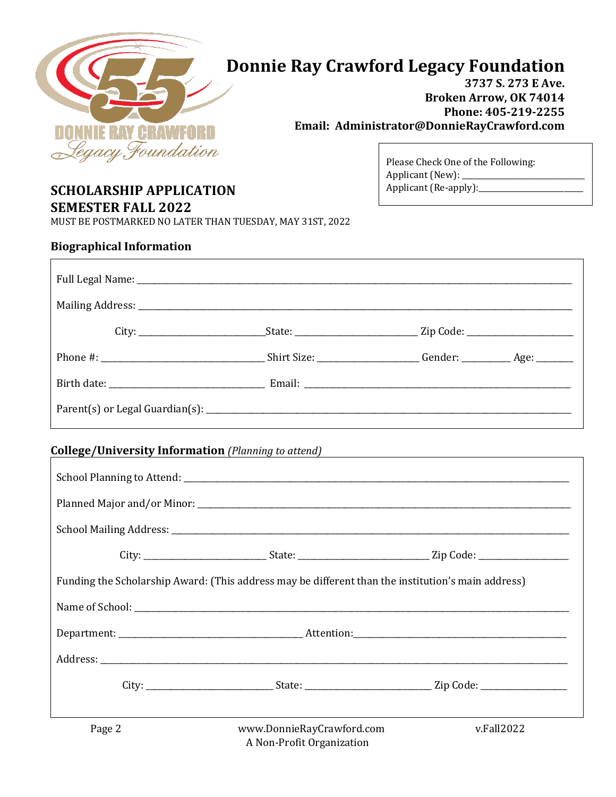

# **Donnie Ray Crawford Legacy Foundation**

3737 S. 273 E Ave. **Broken Arrow, OK 74014** Phone: 405-219-2255 Email: Administrator@DonnieRayCrawford.com

> Applicant (New): \_ Applicant (Re-apply):\_\_\_

Please Check One of the Following:

# **SCHOLARSHIP APPLICATION**

**SEMESTER FALL 2022** 

MUST BE POSTMARKED NO LATER THAN TUESDAY, MAY 31ST, 2022

#### **Biographical Information**

|        | College/University Information (Planning to attend) Manual College/University Information (Planning to attend) |            |
|--------|----------------------------------------------------------------------------------------------------------------|------------|
|        |                                                                                                                |            |
|        |                                                                                                                |            |
|        |                                                                                                                |            |
|        | City: _________________________________State: __________________________________Zip Code: ____________________ |            |
|        | Funding the Scholarship Award: (This address may be different than the institution's main address)             |            |
|        |                                                                                                                |            |
|        |                                                                                                                |            |
|        |                                                                                                                |            |
|        | City: _______________________________State: _________________________________Zip Code: _______________________ |            |
| Page 2 | www.DonnieRayCrawford.com                                                                                      | v.Fall2022 |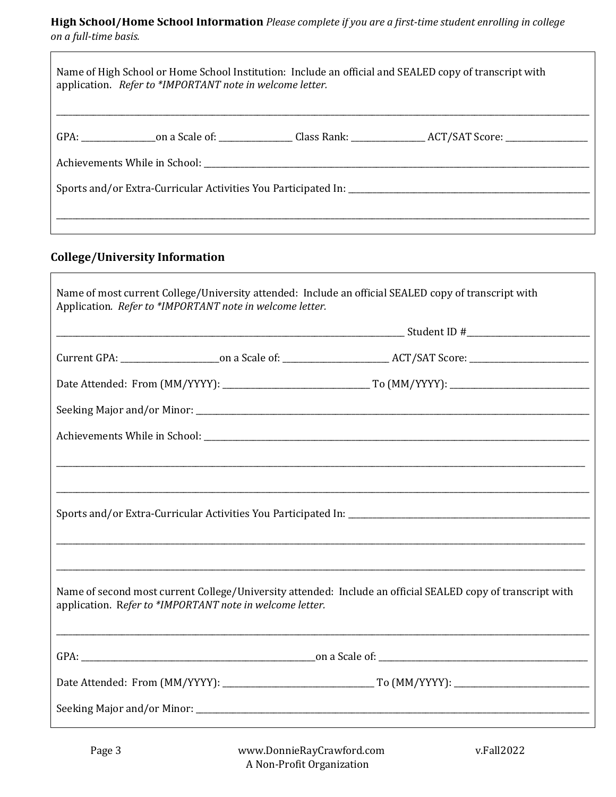### High School/Home School Information Please complete if you are a first-time student enrolling in college on a full-time basis.

| application. Refer to *IMPORTANT note in welcome letter. |                                                                                                                                                                                                                               | Name of High School or Home School Institution: Include an official and SEALED copy of transcript with |
|----------------------------------------------------------|-------------------------------------------------------------------------------------------------------------------------------------------------------------------------------------------------------------------------------|--------------------------------------------------------------------------------------------------------|
|                                                          |                                                                                                                                                                                                                               |                                                                                                        |
|                                                          | Achievements While in School: The Contract of the Contract of the Contract of the Contract of the Contract of the Contract of the Contract of the Contract of the Contract of the Contract of the Contract of the Contract of |                                                                                                        |
|                                                          |                                                                                                                                                                                                                               |                                                                                                        |
|                                                          |                                                                                                                                                                                                                               |                                                                                                        |
|                                                          |                                                                                                                                                                                                                               |                                                                                                        |

# **College/University Information**

| Application. Refer to *IMPORTANT note in welcome letter. | Name of most current College/University attended: Include an official SEALED copy of transcript with        |  |
|----------------------------------------------------------|-------------------------------------------------------------------------------------------------------------|--|
|                                                          |                                                                                                             |  |
|                                                          |                                                                                                             |  |
|                                                          |                                                                                                             |  |
|                                                          |                                                                                                             |  |
|                                                          |                                                                                                             |  |
|                                                          |                                                                                                             |  |
|                                                          |                                                                                                             |  |
|                                                          |                                                                                                             |  |
|                                                          | ,我们也不会有什么。""我们的人,我们也不会有什么?""我们的人,我们也不会有什么?""我们的人,我们也不会有什么?""我们的人,我们也不会有什么?""我们的人                            |  |
|                                                          |                                                                                                             |  |
| application. Refer to *IMPORTANT note in welcome letter. | Name of second most current College/University attended: Include an official SEALED copy of transcript with |  |
|                                                          |                                                                                                             |  |
|                                                          |                                                                                                             |  |
|                                                          |                                                                                                             |  |

٦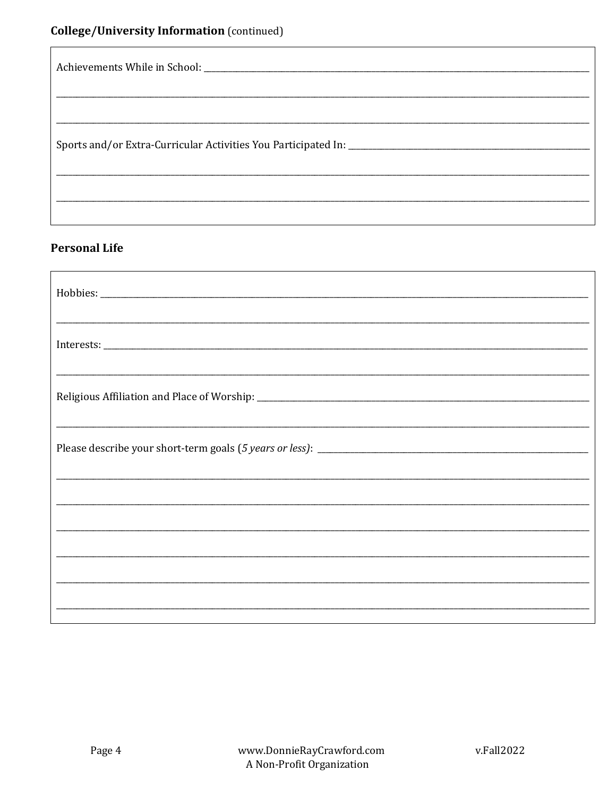## **Personal Life**

| ,我们也不能会有什么。""我们的人,我们也不能会有什么?""我们的人,我们也不能会有什么?""我们的人,我们也不能会有什么?""我们的人,我们也不能会有什么?"" |  |  |
|-----------------------------------------------------------------------------------|--|--|
| ,我们也不能会在这里,我们的人们就会在这里,我们的人们就会不能会在这里,我们的人们就会不能会不能会不能会。""我们的人们,我们也不能会不能会不能会不能会不能会不  |  |  |
| ,我们也不能会在这里,我们的人们就会在这里,我们的人们就会在这里,我们的人们就会在这里,我们的人们就会在这里,我们的人们就会在这里,我们的人们就会在这里,我们的  |  |  |
|                                                                                   |  |  |
|                                                                                   |  |  |
|                                                                                   |  |  |
|                                                                                   |  |  |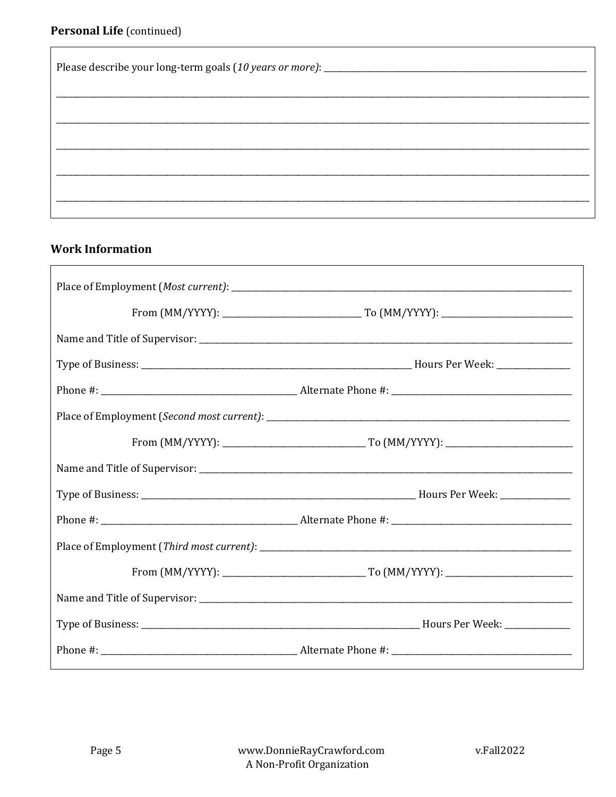| Please describe your long-term goals (10 years or more): _______________________ |  |
|----------------------------------------------------------------------------------|--|
|                                                                                  |  |
|                                                                                  |  |
|                                                                                  |  |
|                                                                                  |  |

## **Work Information**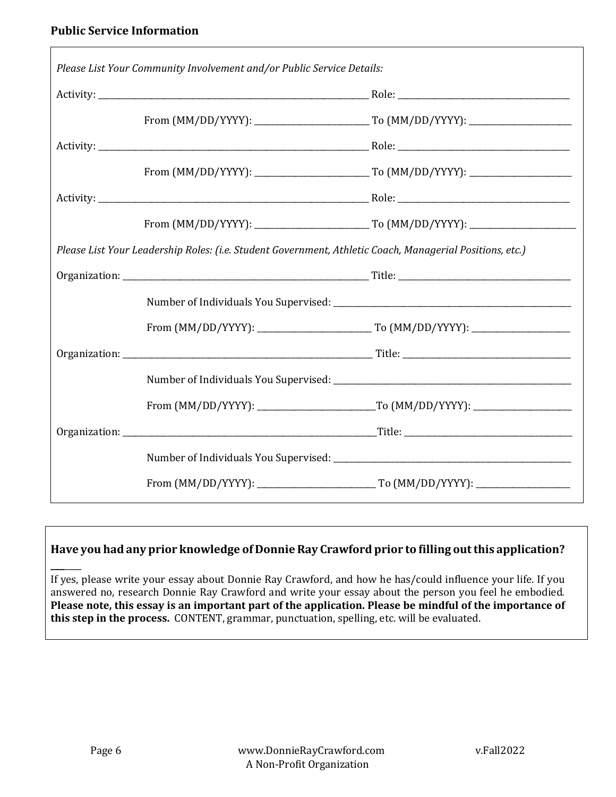$\Gamma$ 

| Please List Your Community Involvement and/or Public Service Details: |                                                                                                          |  |
|-----------------------------------------------------------------------|----------------------------------------------------------------------------------------------------------|--|
|                                                                       |                                                                                                          |  |
|                                                                       |                                                                                                          |  |
|                                                                       |                                                                                                          |  |
|                                                                       |                                                                                                          |  |
|                                                                       |                                                                                                          |  |
|                                                                       |                                                                                                          |  |
|                                                                       | Please List Your Leadership Roles: (i.e. Student Government, Athletic Coach, Managerial Positions, etc.) |  |
|                                                                       |                                                                                                          |  |
|                                                                       |                                                                                                          |  |
|                                                                       |                                                                                                          |  |
|                                                                       |                                                                                                          |  |
|                                                                       |                                                                                                          |  |
|                                                                       |                                                                                                          |  |
|                                                                       |                                                                                                          |  |
|                                                                       |                                                                                                          |  |
|                                                                       |                                                                                                          |  |

### Have you had any prior knowledge of Donnie Ray Crawford prior to filling out this application?

If yes, please write your essay about Donnie Ray Crawford, and how he has/could influence your life. If you answered no, research Donnie Ray Crawford and write your essay about the person you feel he embodied. Please note, this essay is an important part of the application. Please be mindful of the importance of this step in the process. CONTENT, grammar, punctuation, spelling, etc. will be evaluated.

**\_\_\_**\_\_\_\_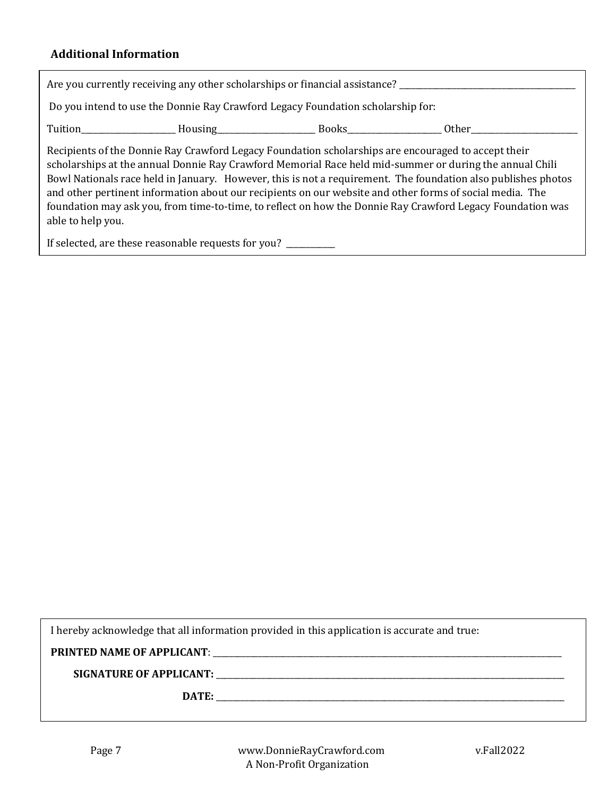#### **Additional Information**

| Are you currently receiving any other scholarships or financial assistance? ________________________                                                                                                                                                                                                                                                                                                                                                                                                                                                                                                                                            |  |  |  |
|-------------------------------------------------------------------------------------------------------------------------------------------------------------------------------------------------------------------------------------------------------------------------------------------------------------------------------------------------------------------------------------------------------------------------------------------------------------------------------------------------------------------------------------------------------------------------------------------------------------------------------------------------|--|--|--|
| Do you intend to use the Donnie Ray Crawford Legacy Foundation scholarship for:                                                                                                                                                                                                                                                                                                                                                                                                                                                                                                                                                                 |  |  |  |
|                                                                                                                                                                                                                                                                                                                                                                                                                                                                                                                                                                                                                                                 |  |  |  |
| Recipients of the Donnie Ray Crawford Legacy Foundation scholarships are encouraged to accept their<br>scholarships at the annual Donnie Ray Crawford Memorial Race held mid-summer or during the annual Chili<br>Bowl Nationals race held in January. However, this is not a requirement. The foundation also publishes photos<br>and other pertinent information about our recipients on our website and other forms of social media. The<br>foundation may ask you, from time-to-time, to reflect on how the Donnie Ray Crawford Legacy Foundation was<br>able to help you.<br>If selected, are these reasonable requests for you? _________ |  |  |  |

I hereby acknowledge that all information provided in this application is accurate and true:

**PRINTED NAME OF APPLICANT**: \_\_\_\_\_\_\_\_\_\_\_\_\_\_\_\_\_\_\_\_\_\_\_\_\_\_\_\_\_\_\_\_\_\_\_\_\_\_\_\_\_\_\_\_\_\_\_\_\_\_\_\_\_\_\_\_\_\_\_\_\_\_\_\_\_\_\_\_\_\_\_\_\_\_\_\_\_\_\_\_\_\_\_\_\_

**SIGNATURE OF APPLICANT:** \_\_\_\_\_\_\_\_\_\_\_\_\_\_\_\_\_\_\_\_\_\_\_\_\_\_\_\_\_\_\_\_\_\_\_\_\_\_\_\_\_\_\_\_\_\_\_\_\_\_\_\_\_\_\_\_\_\_\_\_\_\_\_\_\_\_\_\_\_\_\_\_\_\_\_\_\_\_\_\_\_\_\_\_\_

**DATE:** \_\_\_\_\_\_\_\_\_\_\_\_\_\_\_\_\_\_\_\_\_\_\_\_\_\_\_\_\_\_\_\_\_\_\_\_\_\_\_\_\_\_\_\_\_\_\_\_\_\_\_\_\_\_\_\_\_\_\_\_\_\_\_\_\_\_\_\_\_\_\_\_\_\_\_\_\_\_\_\_\_\_\_\_\_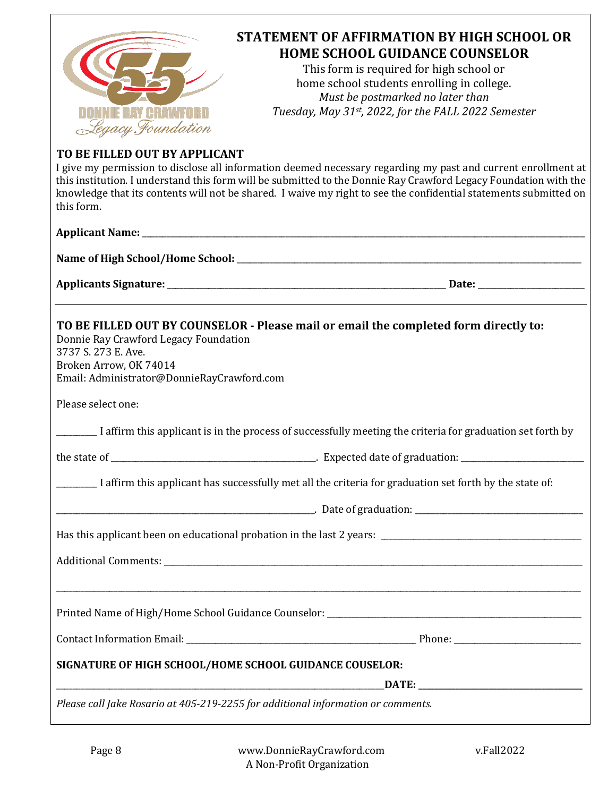

# **STATEMENT OF AFFIRMATION BY HIGH SCHOOL OR HOME SCHOOL GUIDANCE COUNSELOR**

This form is required for high school or home school students enrolling in college. *Must be postmarked no later than Tuesday, May 31st, 2022, for the FALL 2022 Semester*

## **TO BE FILLED OUT BY APPLICANT**

I give my permission to disclose all information deemed necessary regarding my past and current enrollment at this institution. I understand this form will be submitted to the Donnie Ray Crawford Legacy Foundation with the knowledge that its contents will not be shared. I waive my right to see the confidential statements submitted on this form.

| TO BE FILLED OUT BY COUNSELOR - Please mail or email the completed form directly to:<br>Donnie Ray Crawford Legacy Foundation<br>3737 S. 273 E. Ave.<br>Broken Arrow, OK 74014<br>Email: Administrator@DonnieRayCrawford.com |                                                                                                            |
|------------------------------------------------------------------------------------------------------------------------------------------------------------------------------------------------------------------------------|------------------------------------------------------------------------------------------------------------|
| Please select one:                                                                                                                                                                                                           |                                                                                                            |
|                                                                                                                                                                                                                              | I affirm this applicant is in the process of successfully meeting the criteria for graduation set forth by |
|                                                                                                                                                                                                                              |                                                                                                            |
| I affirm this applicant has successfully met all the criteria for graduation set forth by the state of:                                                                                                                      |                                                                                                            |
|                                                                                                                                                                                                                              |                                                                                                            |
|                                                                                                                                                                                                                              |                                                                                                            |
|                                                                                                                                                                                                                              |                                                                                                            |
|                                                                                                                                                                                                                              | ,我们也不能会有什么。""我们的人,我们也不能会有什么?""我们的人,我们也不能会有什么?""我们的人,我们也不能会有什么?""我们的人,我们也不能会有什么?""                          |
|                                                                                                                                                                                                                              |                                                                                                            |
| SIGNATURE OF HIGH SCHOOL/HOME SCHOOL GUIDANCE COUSELOR:                                                                                                                                                                      |                                                                                                            |
| Please call Jake Rosario at 405-219-2255 for additional information or comments.                                                                                                                                             |                                                                                                            |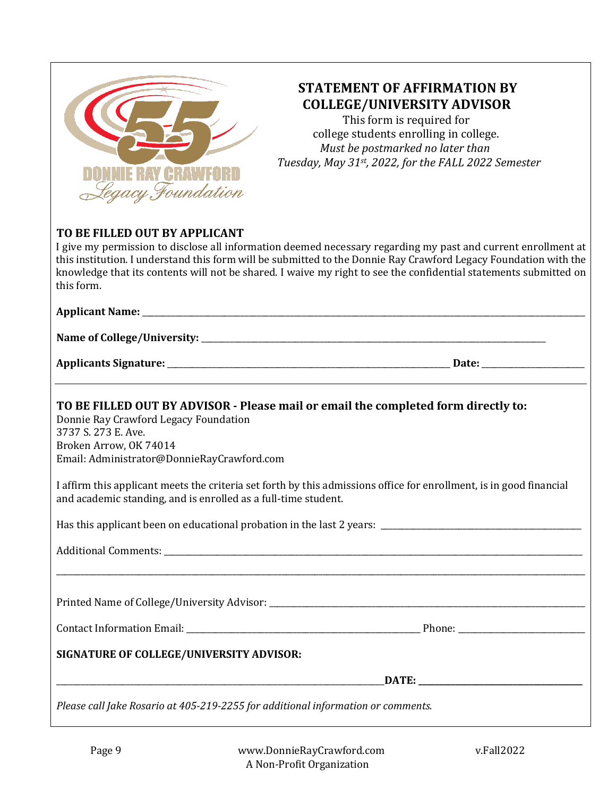

## **STATEMENT OF AFFIRMATION BY COLLEGE/UNIVERSITY ADVISOR**

This form is required for college students enrolling in college. *Must be postmarked no later than* Tuesday, May 31<sup>st</sup>, 2022, for the FALL 2022 Semester

### TO BE FILLED OUT BY APPLICANT

I give my permission to disclose all information deemed necessary regarding my past and current enrollment at this institution. I understand this form will be submitted to the Donnie Ray Crawford Legacy Foundation with the knowledge that its contents will not be shared. I waive my right to see the confidential statements submitted on this form. 

#### **Applicant Name:** \_\_\_\_\_\_\_\_\_\_\_\_\_\_\_\_\_\_\_\_\_\_\_\_\_\_\_\_\_\_\_\_\_\_\_\_\_\_\_\_\_\_\_\_\_\_\_\_\_\_\_\_\_\_\_\_\_\_\_\_\_\_\_\_\_\_\_\_\_\_\_\_\_\_\_\_\_\_\_\_\_\_\_\_\_\_\_\_\_\_\_\_\_\_\_\_\_\_\_\_\_\_\_\_\_\_\_\_

**Name of College/University:** \_\_\_\_\_\_\_\_\_\_\_\_\_\_\_\_\_\_\_\_\_\_\_\_\_\_\_\_\_\_\_\_\_\_\_\_\_\_\_\_\_\_\_\_\_\_\_\_\_\_\_\_\_\_\_\_\_\_\_\_\_\_\_\_\_\_\_\_\_\_\_\_\_\_\_\_\_\_\_\_\_\_\_\_

**Applicants Signature:** \_\_\_\_\_\_\_\_\_\_\_\_\_\_\_\_\_\_\_\_\_\_\_\_\_\_\_\_\_\_\_\_\_\_\_\_\_\_\_\_\_\_\_\_\_\_\_\_\_\_\_\_\_\_\_\_\_\_\_\_\_\_\_\_\_\_\_\_\_ **Date:** \_\_\_\_\_\_\_\_\_\_\_\_\_\_\_\_\_\_\_\_\_\_\_\_\_

## **TO BE FILLED OUT BY ADVISOR - Please mail or email the completed form directly to:**

Donnie Ray Crawford Legacy Foundation 3737 S. 273 E. Ave. Broken Arrow, OK 74014 Email: Administrator@DonnieRayCrawford.com

I affirm this applicant meets the criteria set forth by this admissions office for enrollment, is in good financial and academic standing, and is enrolled as a full-time student.

\_\_\_\_\_\_\_\_\_\_\_\_\_\_\_\_\_\_\_\_\_\_\_\_\_\_\_\_\_\_\_\_\_\_\_\_\_\_\_\_\_\_\_\_\_\_\_\_\_\_\_\_\_\_\_\_\_\_\_\_\_\_\_\_\_\_\_\_\_\_\_\_\_\_\_\_\_\_\_\_\_\_\_\_\_\_\_\_\_\_\_\_\_\_\_\_\_\_\_\_\_\_\_\_\_\_\_\_\_\_\_\_\_\_\_\_\_\_\_\_\_\_\_\_\_\_\_\_\_

Has this applicant been on educational probation in the last 2 years:  $\frac{1}{2}$   $\frac{1}{2}$   $\frac{1}{2}$   $\frac{1}{2}$   $\frac{1}{2}$   $\frac{1}{2}$   $\frac{1}{2}$   $\frac{1}{2}$   $\frac{1}{2}$   $\frac{1}{2}$   $\frac{1}{2}$   $\frac{1}{2}$   $\frac{1}{2}$   $\frac{1}{2}$   $\frac{1}{2}$ 

Additional Comments:  $\overline{\phantom{a}}$ 

Printed Name of College/University Advisor: \_\_\_\_\_\_\_\_\_\_\_\_\_\_\_\_\_\_\_\_\_\_\_\_\_\_\_\_\_\_\_\_\_\_\_\_\_\_\_\_\_\_\_\_\_\_\_\_\_\_\_\_\_\_\_\_\_\_\_\_\_\_\_\_\_\_\_\_\_\_\_\_\_\_\_\_\_

Contact Information Email:  $\Box$ 

#### **SIGNATURE OF COLLEGE/UNIVERSITY ADVISOR:**

\_\_\_\_\_\_\_\_\_\_\_\_\_\_\_\_\_\_\_\_\_\_\_\_\_\_\_\_\_\_\_\_\_\_\_\_\_\_\_\_\_\_\_\_\_\_\_\_\_\_\_\_\_\_\_\_\_\_\_\_\_\_\_\_\_\_\_\_\_\_\_\_\_\_\_\_\_\_\_\_**DATE: \_\_\_\_\_\_\_\_\_\_\_\_\_\_\_\_\_\_\_\_\_\_\_\_\_\_\_\_\_\_\_\_\_\_\_\_\_\_\_\_**

*Please call Jake Rosario at 405-219-2255 for additional information or comments.*